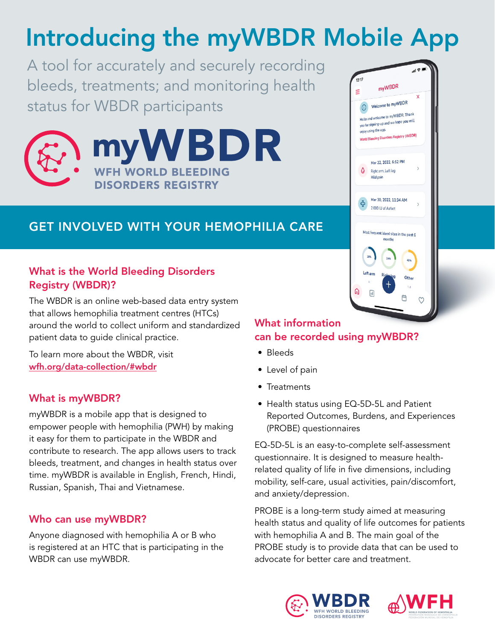# Introducing the myWBDR Mobile App

A tool for accurately and securely recording bleeds, treatments; and monitoring health status for WBDR participants





### GET INVOLVED WITH YOUR HEMOPHILIA CARE

### What is the World Bleeding Disorders Registry (WBDR)?

The WBDR is an online web-based data entry system that allows hemophilia treatment centres (HTCs) around the world to collect uniform and standardized patient data to guide clinical practice.

To learn more about the WBDR, visit [wfh.org/data-collection/#wbdr](https://wfh.org/data-collection/#wbdr)

### What is myWBDR?

myWBDR is a mobile app that is designed to empower people with hemophilia (PWH) by making it easy for them to participate in the WBDR and contribute to research. The app allows users to track bleeds, treatment, and changes in health status over time. myWBDR is available in English, French, Hindi, Russian, Spanish, Thai and Vietnamese.

### Who can use myWBDR?

Anyone diagnosed with hemophilia A or B who is registered at an HTC that is participating in the WBDR can use myWBDR.

### What information can be recorded using myWBDR?

- Bleeds
- Level of pain
- Treatments
- Health status using EQ-5D-5L and Patient Reported Outcomes, Burdens, and Experiences (PROBE) questionnaires

EQ-5D-5L is an easy-to-complete self-assessment questionnaire. It is designed to measure healthrelated quality of life in five dimensions, including mobility, self-care, usual activities, pain/discomfort, and anxiety/depression.

PROBE is a long-term study aimed at measuring health status and quality of life outcomes for patients with hemophilia A and B. The main goal of the PROBE study is to provide data that can be used to advocate for better care and treatment.